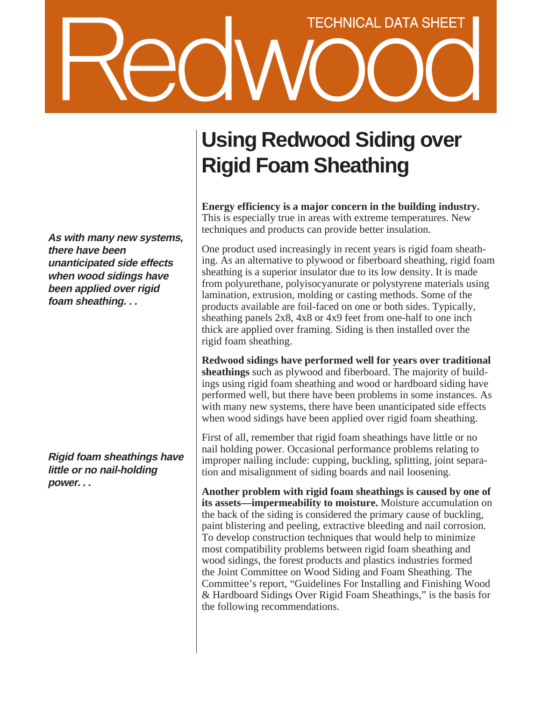# **TECHNICAL DATA SHEET**

**As with many new systems, there have been unanticipated side effects when wood sidings have been applied over rigid foam sheathing. . .**

**Rigid foam sheathings have little or no nail-holding power. . .**

# **Using Redwood Siding over Rigid Foam Sheathing**

**Energy efficiency is a major concern in the building industry.** This is especially true in areas with extreme temperatures. New techniques and products can provide better insulation.

One product used increasingly in recent years is rigid foam sheathing. As an alternative to plywood or fiberboard sheathing, rigid foam sheathing is a superior insulator due to its low density. It is made from polyurethane, polyisocyanurate or polystyrene materials using lamination, extrusion, molding or casting methods. Some of the products available are foil-faced on one or both sides. Typically, sheathing panels 2x8, 4x8 or 4x9 feet from one-half to one inch thick are applied over framing. Siding is then installed over the rigid foam sheathing.

**Redwood sidings have performed well for years over traditional sheathings** such as plywood and fiberboard. The majority of buildings using rigid foam sheathing and wood or hardboard siding have performed well, but there have been problems in some instances. As with many new systems, there have been unanticipated side effects when wood sidings have been applied over rigid foam sheathing.

First of all, remember that rigid foam sheathings have little or no nail holding power. Occasional performance problems relating to improper nailing include: cupping, buckling, splitting, joint separation and misalignment of siding boards and nail loosening.

**Another problem with rigid foam sheathings is caused by one of its assets—impermeability to moisture.** Moisture accumulation on the back of the siding is considered the primary cause of buckling, paint blistering and peeling, extractive bleeding and nail corrosion. To develop construction techniques that would help to minimize most compatibility problems between rigid foam sheathing and wood sidings, the forest products and plastics industries formed the Joint Committee on Wood Siding and Foam Sheathing. The Committee's report, "Guidelines For Installing and Finishing Wood & Hardboard Sidings Over Rigid Foam Sheathings," is the basis for the following recommendations.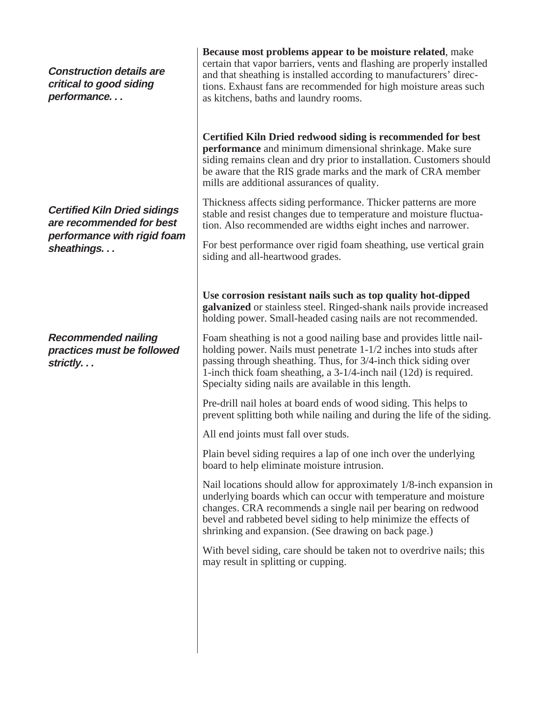**Construction details are critical to good siding performance. . .**

**Certified Kiln Dried sidings are recommended for best performance with rigid foam sheathings. . .**

**Recommended nailing practices must be followed strictly. . .**

**Because most problems appear to be moisture related**, make certain that vapor barriers, vents and flashing are properly installed and that sheathing is installed according to manufacturers' directions. Exhaust fans are recommended for high moisture areas such as kitchens, baths and laundry rooms.

**Certified Kiln Dried redwood siding is recommended for best performance** and minimum dimensional shrinkage. Make sure siding remains clean and dry prior to installation. Customers should be aware that the RIS grade marks and the mark of CRA member mills are additional assurances of quality.

Thickness affects siding performance. Thicker patterns are more stable and resist changes due to temperature and moisture fluctuation. Also recommended are widths eight inches and narrower.

For best performance over rigid foam sheathing, use vertical grain siding and all-heartwood grades.

**Use corrosion resistant nails such as top quality hot-dipped galvanized** or stainless steel. Ringed-shank nails provide increased holding power. Small-headed casing nails are not recommended.

Foam sheathing is not a good nailing base and provides little nailholding power. Nails must penetrate 1-1/2 inches into studs after passing through sheathing. Thus, for 3/4-inch thick siding over 1-inch thick foam sheathing, a 3-1/4-inch nail (12d) is required. Specialty siding nails are available in this length.

Pre-drill nail holes at board ends of wood siding. This helps to prevent splitting both while nailing and during the life of the siding.

All end joints must fall over studs.

Plain bevel siding requires a lap of one inch over the underlying board to help eliminate moisture intrusion.

Nail locations should allow for approximately 1/8-inch expansion in underlying boards which can occur with temperature and moisture changes. CRA recommends a single nail per bearing on redwood bevel and rabbeted bevel siding to help minimize the effects of shrinking and expansion. (See drawing on back page.)

With bevel siding, care should be taken not to overdrive nails; this may result in splitting or cupping.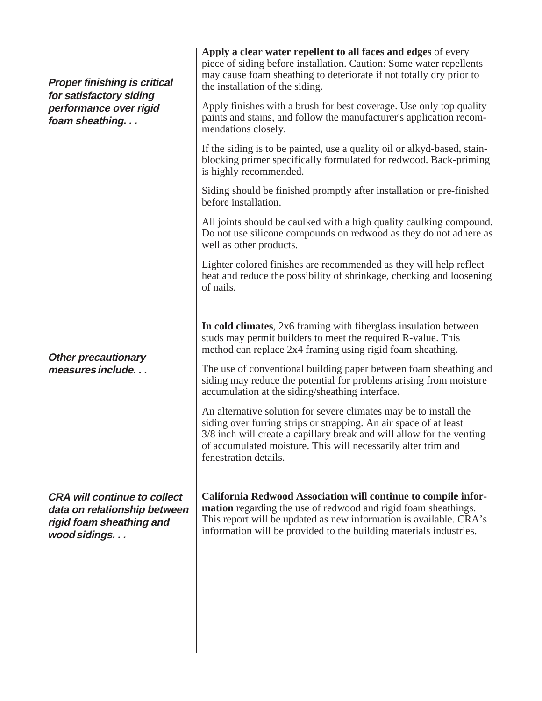| <b>Proper finishing is critical</b><br>for satisfactory siding<br>performance over rigid<br>foam sheathing      | Apply a clear water repellent to all faces and edges of every<br>piece of siding before installation. Caution: Some water repellents<br>may cause foam sheathing to deteriorate if not totally dry prior to<br>the installation of the siding.<br>Apply finishes with a brush for best coverage. Use only top quality<br>paints and stains, and follow the manufacturer's application recom-<br>mendations closely.<br>If the siding is to be painted, use a quality oil or alkyd-based, stain-<br>blocking primer specifically formulated for redwood. Back-priming<br>is highly recommended.<br>Siding should be finished promptly after installation or pre-finished<br>before installation.<br>All joints should be caulked with a high quality caulking compound.<br>Do not use silicone compounds on redwood as they do not adhere as<br>well as other products.<br>Lighter colored finishes are recommended as they will help reflect<br>heat and reduce the possibility of shrinkage, checking and loosening<br>of nails. |
|-----------------------------------------------------------------------------------------------------------------|-----------------------------------------------------------------------------------------------------------------------------------------------------------------------------------------------------------------------------------------------------------------------------------------------------------------------------------------------------------------------------------------------------------------------------------------------------------------------------------------------------------------------------------------------------------------------------------------------------------------------------------------------------------------------------------------------------------------------------------------------------------------------------------------------------------------------------------------------------------------------------------------------------------------------------------------------------------------------------------------------------------------------------------|
| <b>Other precautionary</b><br>measures include                                                                  | In cold climates, 2x6 framing with fiberglass insulation between<br>studs may permit builders to meet the required R-value. This<br>method can replace 2x4 framing using rigid foam sheathing.<br>The use of conventional building paper between foam sheathing and<br>siding may reduce the potential for problems arising from moisture<br>accumulation at the siding/sheathing interface.<br>An alternative solution for severe climates may be to install the<br>siding over furring strips or strapping. An air space of at least<br>3/8 inch will create a capillary break and will allow for the venting<br>of accumulated moisture. This will necessarily alter trim and<br>fenestration details.                                                                                                                                                                                                                                                                                                                         |
| <b>CRA will continue to collect</b><br>data on relationship between<br>rigid foam sheathing and<br>wood sidings | California Redwood Association will continue to compile infor-<br><b>mation</b> regarding the use of redwood and rigid foam sheathings.<br>This report will be updated as new information is available. CRA's<br>information will be provided to the building materials industries.                                                                                                                                                                                                                                                                                                                                                                                                                                                                                                                                                                                                                                                                                                                                               |